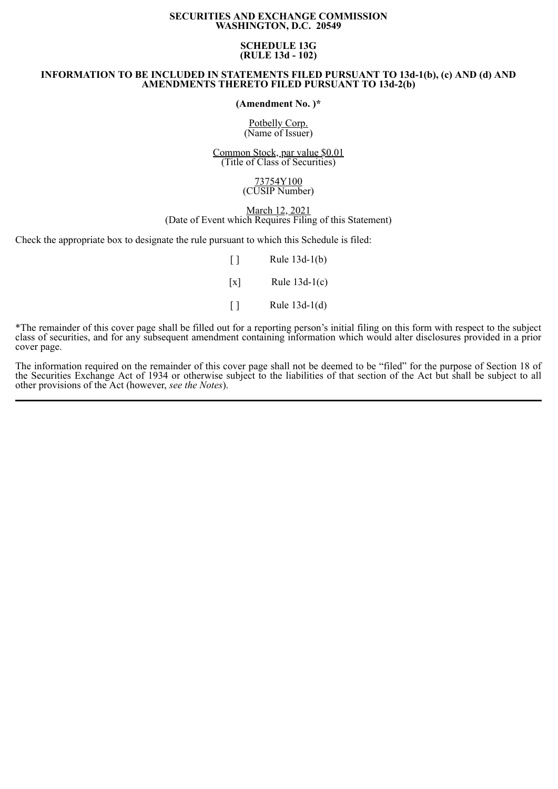# **SECURITIES AND EXCHANGE COMMISSION WASHINGTON, D.C. 20549**

# **SCHEDULE 13G (RULE 13d - 102)**

# **INFORMATION TO BE INCLUDED IN STATEMENTS FILED PURSUANT TO 13d-1(b), (c) AND (d) AND AMENDMENTS THERETO FILED PURSUANT TO 13d-2(b)**

**(Amendment No. )\***

Potbelly Corp. (Name of Issuer)

Common Stock, par value \$0.01 (Title of Class of Securities)

#### 73754Y100 (CUSIP Number)

# March 12, 2021 (Date of Event which Requires Filing of this Statement)

Check the appropriate box to designate the rule pursuant to which this Schedule is filed:

| $\perp$           | Rule 13d-1(b)   |
|-------------------|-----------------|
| $\lceil x \rceil$ | Rule $13d-1(c)$ |
| $\perp$           | Rule $13d-1(d)$ |

\*The remainder of this cover page shall be filled out for a reporting person's initial filing on this form with respect to the subject class of securities, and for any subsequent amendment containing information which would alter disclosures provided in a prior cover page.

The information required on the remainder of this cover page shall not be deemed to be "filed" for the purpose of Section 18 of the Securities Exchange Act of 1934 or otherwise subject to the liabilities of that section of the Act but shall be subject to all other provisions of the Act (however, *see the Notes*).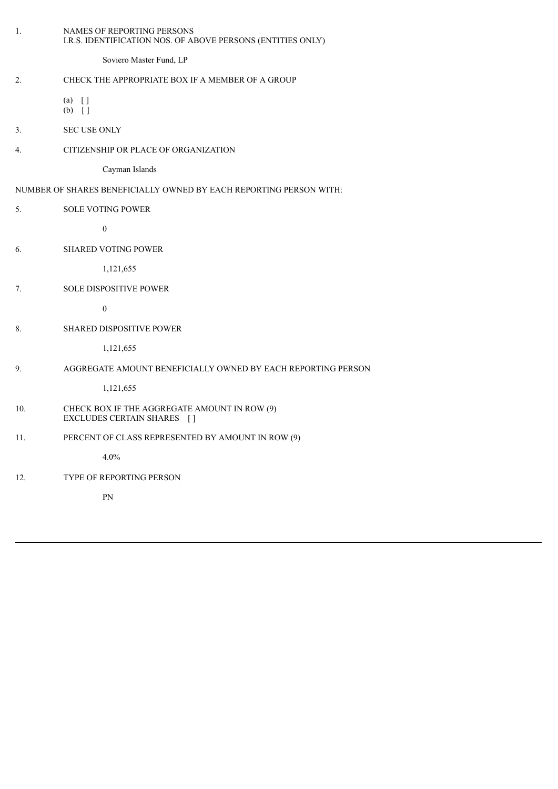| 1.             | NAMES OF REPORTING PERSONS<br>I.R.S. IDENTIFICATION NOS. OF ABOVE PERSONS (ENTITIES ONLY) |
|----------------|-------------------------------------------------------------------------------------------|
|                | Soviero Master Fund, LP                                                                   |
| 2.             | CHECK THE APPROPRIATE BOX IF A MEMBER OF A GROUP                                          |
|                | $(a)$ []<br>$(b)$ []                                                                      |
| 3 <sub>1</sub> | <b>SEC USE ONLY</b>                                                                       |
| 4.             | CITIZENSHIP OR PLACE OF ORGANIZATION                                                      |
|                | Cayman Islands                                                                            |
|                | NUMBER OF SHARES BENEFICIALLY OWNED BY EACH REPORTING PERSON WITH:                        |
| 5.             | <b>SOLE VOTING POWER</b>                                                                  |
|                | $\boldsymbol{0}$                                                                          |
| 6.             | SHARED VOTING POWER                                                                       |
|                | 1,121,655                                                                                 |
| 7.             | SOLE DISPOSITIVE POWER                                                                    |
|                | $\boldsymbol{0}$                                                                          |
| 8.             | SHARED DISPOSITIVE POWER                                                                  |
|                | 1,121,655                                                                                 |
| 9.             | AGGREGATE AMOUNT BENEFICIALLY OWNED BY EACH REPORTING PERSON                              |
|                | 1,121,655                                                                                 |
| 10.            | CHECK BOX IF THE AGGREGATE AMOUNT IN ROW (9)<br>EXCLUDES CERTAIN SHARES []                |
| 11.            | PERCENT OF CLASS REPRESENTED BY AMOUNT IN ROW (9)                                         |
|                | 4.0%                                                                                      |
| 12.            | TYPE OF REPORTING PERSON                                                                  |
|                | ${\rm PN}$                                                                                |
|                |                                                                                           |
|                |                                                                                           |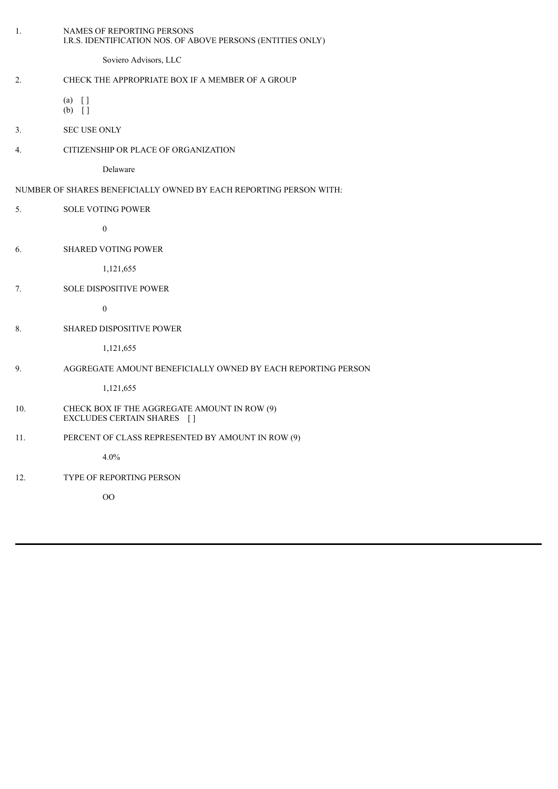| 1.  | NAMES OF REPORTING PERSONS<br>I.R.S. IDENTIFICATION NOS. OF ABOVE PERSONS (ENTITIES ONLY) |
|-----|-------------------------------------------------------------------------------------------|
|     | Soviero Advisors, LLC                                                                     |
| 2.  | CHECK THE APPROPRIATE BOX IF A MEMBER OF A GROUP                                          |
|     | $(a)$ []<br>$(b)$ []                                                                      |
| 3.  | SEC USE ONLY                                                                              |
| 4.  | CITIZENSHIP OR PLACE OF ORGANIZATION                                                      |
|     | Delaware                                                                                  |
|     | NUMBER OF SHARES BENEFICIALLY OWNED BY EACH REPORTING PERSON WITH:                        |
| 5.  | <b>SOLE VOTING POWER</b>                                                                  |
|     | $\boldsymbol{0}$                                                                          |
| 6.  | <b>SHARED VOTING POWER</b>                                                                |
|     | 1,121,655                                                                                 |
| 7.  | SOLE DISPOSITIVE POWER                                                                    |
|     | $\boldsymbol{0}$                                                                          |
| 8.  | SHARED DISPOSITIVE POWER                                                                  |
|     | 1,121,655                                                                                 |
| 9.  | AGGREGATE AMOUNT BENEFICIALLY OWNED BY EACH REPORTING PERSON                              |
|     | 1,121,655                                                                                 |
| 10. | CHECK BOX IF THE AGGREGATE AMOUNT IN ROW (9)<br>EXCLUDES CERTAIN SHARES []                |
| 11. | PERCENT OF CLASS REPRESENTED BY AMOUNT IN ROW (9)                                         |
|     | 4.0%                                                                                      |
| 12. | TYPE OF REPORTING PERSON                                                                  |
|     | $00\,$                                                                                    |
|     |                                                                                           |
|     |                                                                                           |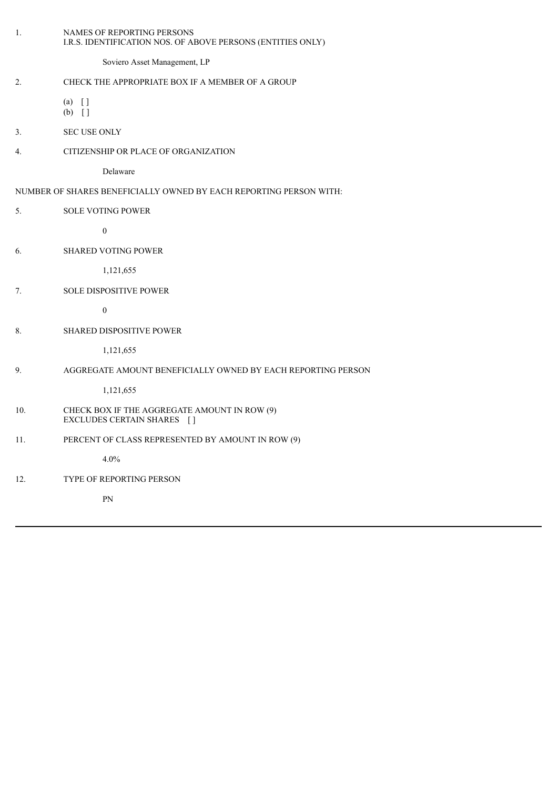| 1.  | NAMES OF REPORTING PERSONS<br>I.R.S. IDENTIFICATION NOS. OF ABOVE PERSONS (ENTITIES ONLY) |
|-----|-------------------------------------------------------------------------------------------|
|     | Soviero Asset Management, LP                                                              |
| 2.  | CHECK THE APPROPRIATE BOX IF A MEMBER OF A GROUP                                          |
|     | $(a)$ []<br>$(b)$ []                                                                      |
| 3.  | <b>SEC USE ONLY</b>                                                                       |
| 4.  | CITIZENSHIP OR PLACE OF ORGANIZATION                                                      |
|     | Delaware                                                                                  |
|     | NUMBER OF SHARES BENEFICIALLY OWNED BY EACH REPORTING PERSON WITH:                        |
| 5.  | <b>SOLE VOTING POWER</b>                                                                  |
|     | $\boldsymbol{0}$                                                                          |
| 6.  | <b>SHARED VOTING POWER</b>                                                                |
|     | 1,121,655                                                                                 |
| 7.  | <b>SOLE DISPOSITIVE POWER</b>                                                             |
|     | $\boldsymbol{0}$                                                                          |
| 8.  | <b>SHARED DISPOSITIVE POWER</b>                                                           |
|     | 1,121,655                                                                                 |
| 9.  | AGGREGATE AMOUNT BENEFICIALLY OWNED BY EACH REPORTING PERSON                              |
|     | 1,121,655                                                                                 |
| 10. | CHECK BOX IF THE AGGREGATE AMOUNT IN ROW (9)<br>EXCLUDES CERTAIN SHARES []                |
| 11. | PERCENT OF CLASS REPRESENTED BY AMOUNT IN ROW (9)                                         |
|     | 4.0%                                                                                      |
| 12. | <b>TYPE OF REPORTING PERSON</b>                                                           |
|     | PN                                                                                        |
|     |                                                                                           |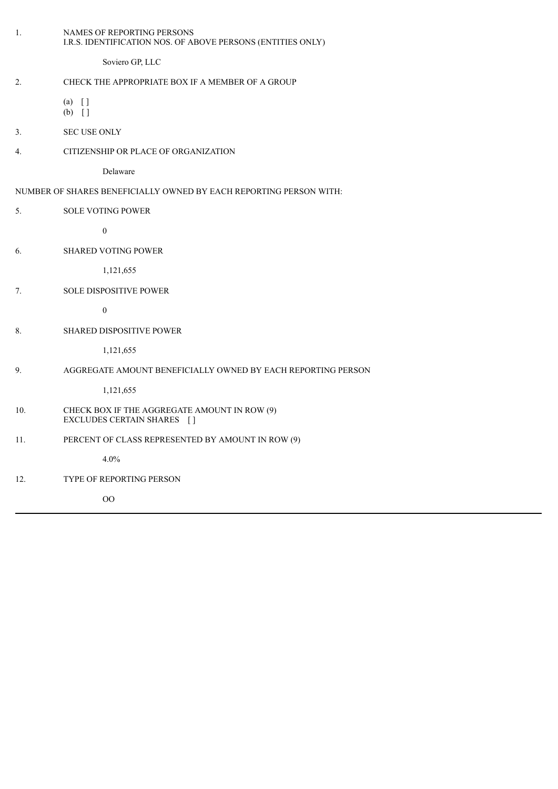| 1.  | NAMES OF REPORTING PERSONS<br>I.R.S. IDENTIFICATION NOS. OF ABOVE PERSONS (ENTITIES ONLY) |
|-----|-------------------------------------------------------------------------------------------|
|     | Soviero GP, LLC                                                                           |
| 2.  | CHECK THE APPROPRIATE BOX IF A MEMBER OF A GROUP                                          |
|     | $(a)$ []<br>$(b)$ []                                                                      |
| 3.  | <b>SEC USE ONLY</b>                                                                       |
| 4.  | CITIZENSHIP OR PLACE OF ORGANIZATION                                                      |
|     | Delaware                                                                                  |
|     | NUMBER OF SHARES BENEFICIALLY OWNED BY EACH REPORTING PERSON WITH:                        |
| 5.  | <b>SOLE VOTING POWER</b>                                                                  |
|     | $\boldsymbol{0}$                                                                          |
| 6.  | <b>SHARED VOTING POWER</b>                                                                |
|     | 1,121,655                                                                                 |
| 7.  | <b>SOLE DISPOSITIVE POWER</b>                                                             |
|     | $\boldsymbol{0}$                                                                          |
| 8.  | SHARED DISPOSITIVE POWER                                                                  |
|     | 1,121,655                                                                                 |
| 9.  | AGGREGATE AMOUNT BENEFICIALLY OWNED BY EACH REPORTING PERSON                              |
|     | 1,121,655                                                                                 |
| 10. | CHECK BOX IF THE AGGREGATE AMOUNT IN ROW (9)<br>EXCLUDES CERTAIN SHARES []                |
| 11. | PERCENT OF CLASS REPRESENTED BY AMOUNT IN ROW (9)                                         |
|     | 4.0%                                                                                      |
| 12. | <b>TYPE OF REPORTING PERSON</b>                                                           |
|     | $\rm OO$                                                                                  |
|     |                                                                                           |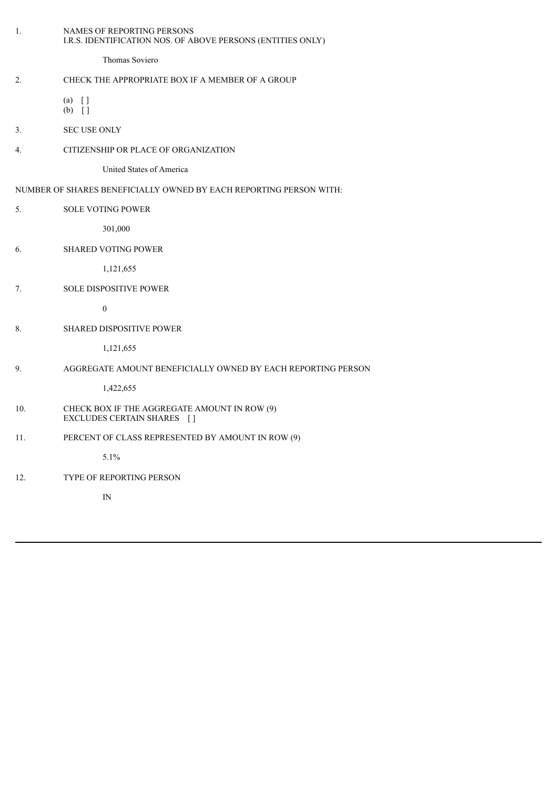| 1.             | NAMES OF REPORTING PERSONS<br>I.R.S. IDENTIFICATION NOS. OF ABOVE PERSONS (ENTITIES ONLY) |
|----------------|-------------------------------------------------------------------------------------------|
|                | Thomas Soviero                                                                            |
| 2.             | CHECK THE APPROPRIATE BOX IF A MEMBER OF A GROUP                                          |
|                | $(a)$ []<br>$(b)$ []                                                                      |
| 3 <sub>1</sub> | <b>SEC USE ONLY</b>                                                                       |
| 4.             | CITIZENSHIP OR PLACE OF ORGANIZATION                                                      |
|                | United States of America                                                                  |
|                | NUMBER OF SHARES BENEFICIALLY OWNED BY EACH REPORTING PERSON WITH:                        |
| 5.             | <b>SOLE VOTING POWER</b>                                                                  |
|                | 301,000                                                                                   |
| 6.             | SHARED VOTING POWER                                                                       |
|                | 1,121,655                                                                                 |
| 7.             | SOLE DISPOSITIVE POWER                                                                    |
|                | $\boldsymbol{0}$                                                                          |
| 8.             | <b>SHARED DISPOSITIVE POWER</b>                                                           |
|                | 1,121,655                                                                                 |
| 9.             | AGGREGATE AMOUNT BENEFICIALLY OWNED BY EACH REPORTING PERSON                              |
|                | 1,422,655                                                                                 |
| 10.            | CHECK BOX IF THE AGGREGATE AMOUNT IN ROW (9)<br>EXCLUDES CERTAIN SHARES []                |
| 11.            | PERCENT OF CLASS REPRESENTED BY AMOUNT IN ROW (9)                                         |
|                | 5.1%                                                                                      |
| 12.            | TYPE OF REPORTING PERSON                                                                  |
|                | $\mathop{\rm IN}\nolimits$                                                                |
|                |                                                                                           |
|                |                                                                                           |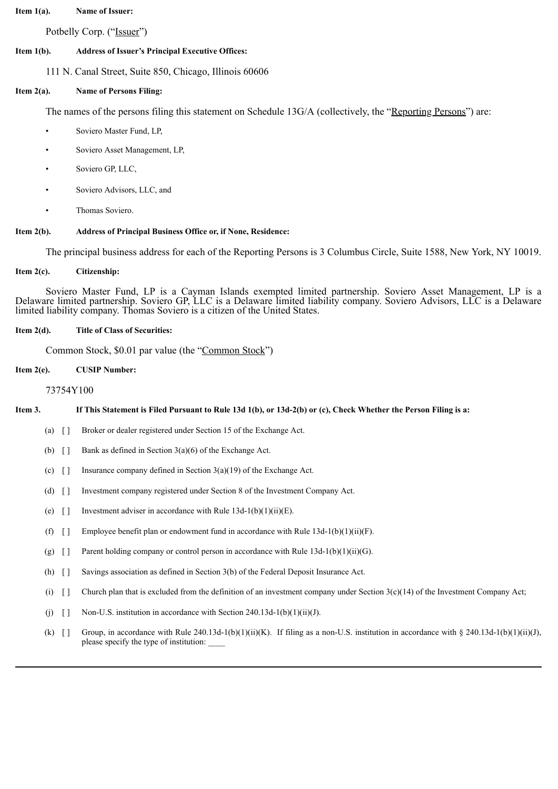#### **Item 1(a). Name of Issuer:**

Potbelly Corp. ("Issuer")

#### **Item 1(b). Address of Issuer's Principal Executive Offices:**

111 N. Canal Street, Suite 850, Chicago, Illinois 60606

### **Item 2(a). Name of Persons Filing:**

The names of the persons filing this statement on Schedule 13G/A (collectively, the "Reporting Persons") are:

- Soviero Master Fund, LP.
- Soviero Asset Management, LP,
- Soviero GP, LLC,
- Soviero Advisors, LLC, and
- Thomas Soviero.

### **Item 2(b). Address of Principal Business Office or, if None, Residence:**

The principal business address for each of the Reporting Persons is 3 Columbus Circle, Suite 1588, New York, NY 10019.

#### **Item 2(c). Citizenship:**

Soviero Master Fund, LP is a Cayman Islands exempted limited partnership. Soviero Asset Management, LP is a Delaware limited partnership. Soviero GP, LLC is a Delaware limited liability company. Soviero Advisors, LLC is a Delaware limited liability company. Thomas Soviero is a citizen of the United States.

#### **Item 2(d). Title of Class of Securities:**

Common Stock, \$0.01 par value (the "Common Stock")

#### **Item 2(e). CUSIP Number:**

#### 73754Y100

#### If This Statement is Filed Pursuant to Rule 13d 1(b), or 13d-2(b) or (c), Check Whether the Person Filing is a:

- (a) [ ] Broker or dealer registered under Section 15 of the Exchange Act.
- (b)  $\begin{bmatrix} \end{bmatrix}$  Bank as defined in Section 3(a)(6) of the Exchange Act.
- (c)  $\lceil \cdot \rceil$  Insurance company defined in Section 3(a)(19) of the Exchange Act.
- (d) [ ] Investment company registered under Section 8 of the Investment Company Act.
- (e)  $\lceil \cdot \rceil$  Investment adviser in accordance with Rule 13d-1(b)(1)(ii)(E).
- (f)  $\lceil \rceil$  Employee benefit plan or endowment fund in accordance with Rule 13d-1(b)(1)(ii)(F).
- (g)  $\lceil \cdot \rceil$  Parent holding company or control person in accordance with Rule 13d-1(b)(1)(ii)(G).
- (h) [ ] Savings association as defined in Section 3(b) of the Federal Deposit Insurance Act.
- (i)  $\lceil \rceil$  Church plan that is excluded from the definition of an investment company under Section 3(c)(14) of the Investment Company Act;
- (i)  $\Box$  Non-U.S. institution in accordance with Section 240.13d-1(b)(1)(ii)(J).
- (k)  $\lceil \cdot \rceil$  Group, in accordance with Rule 240.13d-1(b)(1)(ii)(K). If filing as a non-U.S. institution in accordance with § 240.13d-1(b)(1)(ii)(J), please specify the type of institution: \_\_\_\_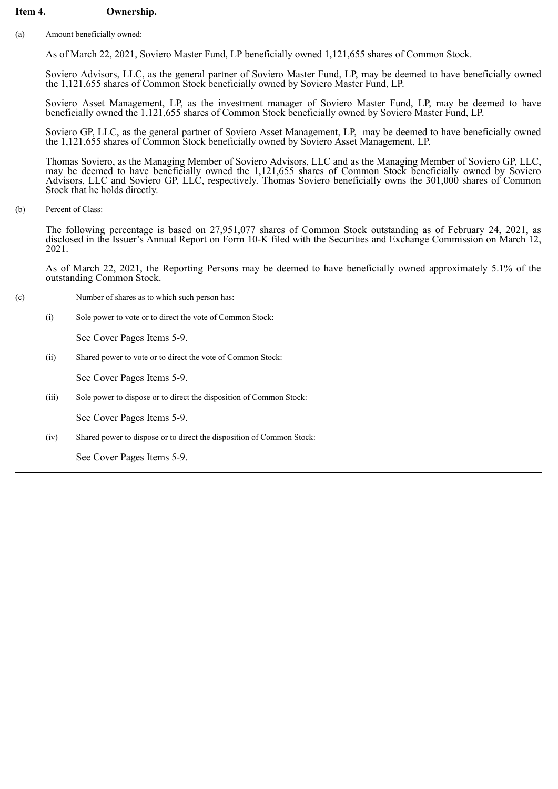# **Item 4. Ownership.**

(a) Amount beneficially owned:

As of March 22, 2021, Soviero Master Fund, LP beneficially owned 1,121,655 shares of Common Stock.

Soviero Advisors, LLC, as the general partner of Soviero Master Fund, LP, may be deemed to have beneficially owned the 1,121,655 shares of Common Stock beneficially owned by Soviero Master Fund, LP.

Soviero Asset Management, LP, as the investment manager of Soviero Master Fund, LP, may be deemed to have beneficially owned the 1,121,655 shares of Common Stock beneficially owned by Soviero Master Fund, LP.

Soviero GP, LLC, as the general partner of Soviero Asset Management, LP, may be deemed to have beneficially owned the 1,121,655 shares of Common Stock beneficially owned by Soviero Asset Management, LP.

Thomas Soviero, as the Managing Member of Soviero Advisors, LLC and as the Managing Member of Soviero GP, LLC, may be deemed to have beneficially owned the 1,121,655 shares of Common Stock beneficially owned by Soviero Advisors, LLC and Soviero GP, LLC, respectively. Thomas Soviero beneficially owns the 301,000 shares of Common Stock that he holds directly.

(b) Percent of Class:

The following percentage is based on 27,951,077 shares of Common Stock outstanding as of February 24, 2021, as disclosed in the Issuer's Annual Report on Form 10-K filed with the Securities and Exchange Commission on March 12, 2021.

As of March 22, 2021, the Reporting Persons may be deemed to have beneficially owned approximately 5.1% of the outstanding Common Stock.

- (c) Number of shares as to which such person has:
	- (i) Sole power to vote or to direct the vote of Common Stock:

See Cover Pages Items 5-9.

(ii) Shared power to vote or to direct the vote of Common Stock:

See Cover Pages Items 5-9.

(iii) Sole power to dispose or to direct the disposition of Common Stock:

See Cover Pages Items 5-9.

(iv) Shared power to dispose or to direct the disposition of Common Stock:

See Cover Pages Items 5-9.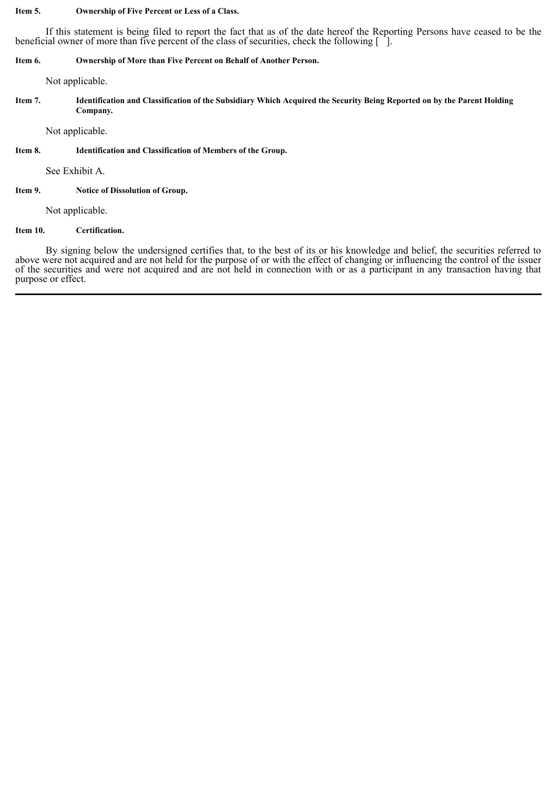### **Item 5. Ownership of Five Percent or Less of a Class.**

If this statement is being filed to report the fact that as of the date hereof the Reporting Persons have ceased to be the beneficial owner of more than five percent of the class of securities, check the following  $\lceil \cdot \rceil$ .

# **Item 6. Ownership of More than Five Percent on Behalf of Another Person.**

Not applicable.

Item 7. Identification and Classification of the Subsidiary Which Acquired the Security Being Reported on by the Parent Holding **Company.**

Not applicable.

### **Item 8. Identification and Classification of Members of the Group.**

See Exhibit A.

# **Item 9. Notice of Dissolution of Group.**

Not applicable.

# **Item 10. Certification.**

By signing below the undersigned certifies that, to the best of its or his knowledge and belief, the securities referred to above were not acquired and are not held for the purpose of or with the effect of changing or influencing the control of the issuer of the securities and were not acquired and are not held in connection with or as a participant in any transaction having that purpose or effect.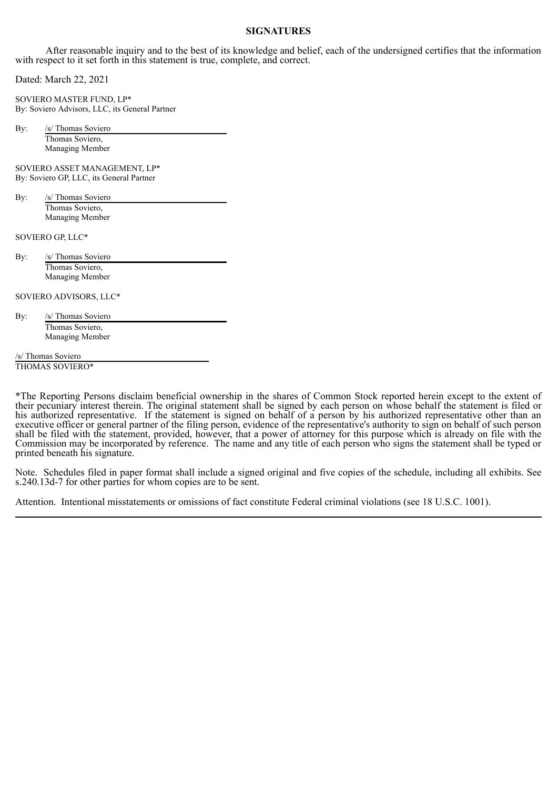# **SIGNATURES**

After reasonable inquiry and to the best of its knowledge and belief, each of the undersigned certifies that the information with respect to it set forth in this statement is true, complete, and correct.

Dated: March 22, 2021

SOVIERO MASTER FUND, LP\* By: Soviero Advisors, LLC, its General Partner

By: /s/ Thomas Soviero Thomas Soviero, Managing Member

SOVIERO ASSET MANAGEMENT, LP\* By: Soviero GP, LLC, its General Partner

By: /s/ Thomas Soviero Thomas Soviero, Managing Member

SOVIERO GP, LLC\*

By: /s/ Thomas Soviero Thomas Soviero, Managing Member

SOVIERO ADVISORS, LLC\*

By: /s/ Thomas Soviero Thomas Soviero, Managing Member

/s/ Thomas Soviero

THOMAS SOVIERO\*

\*The Reporting Persons disclaim beneficial ownership in the shares of Common Stock reported herein except to the extent of their pecuniary interest therein. The original statement shall be signed by each person on whose behalf the statement is filed or his authorized representative. If the statement is signed on behalf of a person by his authorized representative other than an executive officer or general partner of the filing person, evidence of the representative's authority to sign on behalf of such person shall be filed with the statement, provided, however, that a power of attorney for this purpose which is already on file with the Commission may be incorporated by reference. The name and any title of each person who signs the statement shall be typed or printed beneath his signature.

Note. Schedules filed in paper format shall include a signed original and five copies of the schedule, including all exhibits. See s.240.13d-7 for other parties for whom copies are to be sent.

Attention. Intentional misstatements or omissions of fact constitute Federal criminal violations (see 18 U.S.C. 1001).